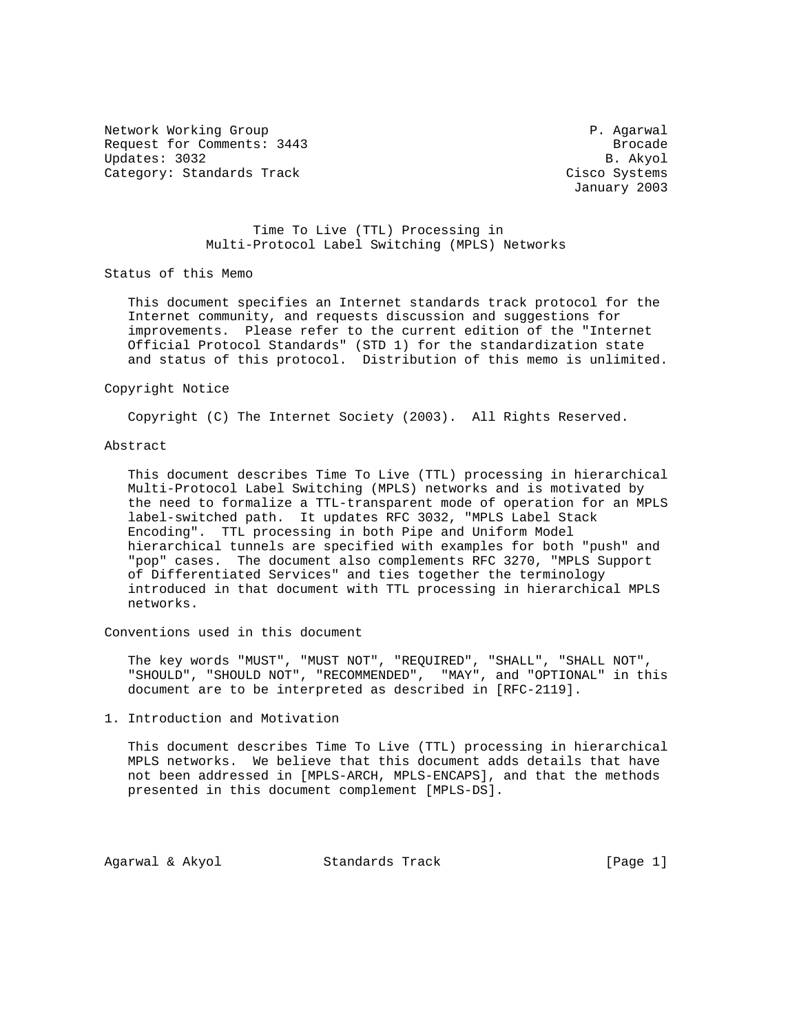Network Working Group **P. Agarwal** Request for Comments: 3443 Brocade Updates: 3032 B. Akyol Category: Standards Track Cisco Systems

January 2003

 Time To Live (TTL) Processing in Multi-Protocol Label Switching (MPLS) Networks

Status of this Memo

 This document specifies an Internet standards track protocol for the Internet community, and requests discussion and suggestions for improvements. Please refer to the current edition of the "Internet Official Protocol Standards" (STD 1) for the standardization state and status of this protocol. Distribution of this memo is unlimited.

### Copyright Notice

Copyright (C) The Internet Society (2003). All Rights Reserved.

# Abstract

 This document describes Time To Live (TTL) processing in hierarchical Multi-Protocol Label Switching (MPLS) networks and is motivated by the need to formalize a TTL-transparent mode of operation for an MPLS label-switched path. It updates RFC 3032, "MPLS Label Stack Encoding". TTL processing in both Pipe and Uniform Model hierarchical tunnels are specified with examples for both "push" and "pop" cases. The document also complements RFC 3270, "MPLS Support of Differentiated Services" and ties together the terminology introduced in that document with TTL processing in hierarchical MPLS networks.

Conventions used in this document

 The key words "MUST", "MUST NOT", "REQUIRED", "SHALL", "SHALL NOT", "SHOULD", "SHOULD NOT", "RECOMMENDED", "MAY", and "OPTIONAL" in this document are to be interpreted as described in [RFC-2119].

1. Introduction and Motivation

 This document describes Time To Live (TTL) processing in hierarchical MPLS networks. We believe that this document adds details that have not been addressed in [MPLS-ARCH, MPLS-ENCAPS], and that the methods presented in this document complement [MPLS-DS].

Agarwal & Akyol Standards Track [Page 1]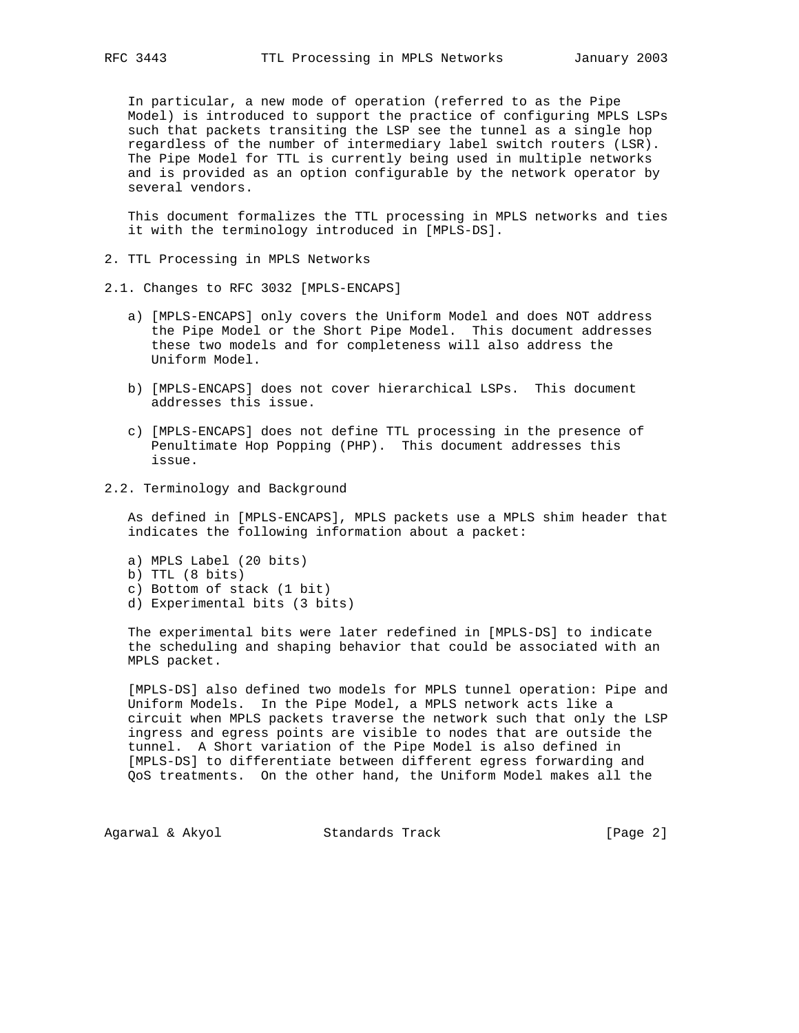In particular, a new mode of operation (referred to as the Pipe Model) is introduced to support the practice of configuring MPLS LSPs such that packets transiting the LSP see the tunnel as a single hop regardless of the number of intermediary label switch routers (LSR). The Pipe Model for TTL is currently being used in multiple networks and is provided as an option configurable by the network operator by several vendors.

 This document formalizes the TTL processing in MPLS networks and ties it with the terminology introduced in [MPLS-DS].

- 2. TTL Processing in MPLS Networks
- 2.1. Changes to RFC 3032 [MPLS-ENCAPS]
	- a) [MPLS-ENCAPS] only covers the Uniform Model and does NOT address the Pipe Model or the Short Pipe Model. This document addresses these two models and for completeness will also address the Uniform Model.
	- b) [MPLS-ENCAPS] does not cover hierarchical LSPs. This document addresses this issue.
	- c) [MPLS-ENCAPS] does not define TTL processing in the presence of Penultimate Hop Popping (PHP). This document addresses this issue.
- 2.2. Terminology and Background

 As defined in [MPLS-ENCAPS], MPLS packets use a MPLS shim header that indicates the following information about a packet:

- a) MPLS Label (20 bits)
- b) TTL (8 bits)
- c) Bottom of stack (1 bit)
- d) Experimental bits (3 bits)

 The experimental bits were later redefined in [MPLS-DS] to indicate the scheduling and shaping behavior that could be associated with an MPLS packet.

 [MPLS-DS] also defined two models for MPLS tunnel operation: Pipe and Uniform Models. In the Pipe Model, a MPLS network acts like a circuit when MPLS packets traverse the network such that only the LSP ingress and egress points are visible to nodes that are outside the tunnel. A Short variation of the Pipe Model is also defined in [MPLS-DS] to differentiate between different egress forwarding and QoS treatments. On the other hand, the Uniform Model makes all the

Agarwal & Akyol Standards Track [Page 2]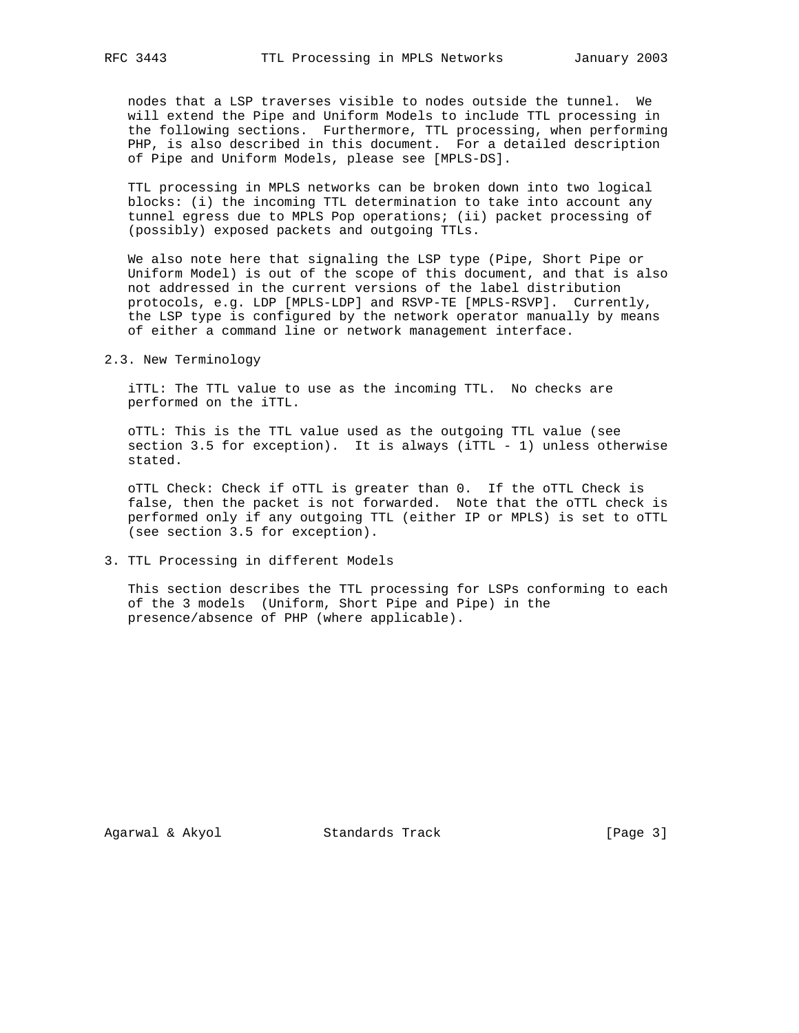nodes that a LSP traverses visible to nodes outside the tunnel. We will extend the Pipe and Uniform Models to include TTL processing in the following sections. Furthermore, TTL processing, when performing PHP, is also described in this document. For a detailed description of Pipe and Uniform Models, please see [MPLS-DS].

 TTL processing in MPLS networks can be broken down into two logical blocks: (i) the incoming TTL determination to take into account any tunnel egress due to MPLS Pop operations; (ii) packet processing of (possibly) exposed packets and outgoing TTLs.

 We also note here that signaling the LSP type (Pipe, Short Pipe or Uniform Model) is out of the scope of this document, and that is also not addressed in the current versions of the label distribution protocols, e.g. LDP [MPLS-LDP] and RSVP-TE [MPLS-RSVP]. Currently, the LSP type is configured by the network operator manually by means of either a command line or network management interface.

2.3. New Terminology

 iTTL: The TTL value to use as the incoming TTL. No checks are performed on the iTTL.

 oTTL: This is the TTL value used as the outgoing TTL value (see section 3.5 for exception). It is always (iTTL - 1) unless otherwise stated.

 oTTL Check: Check if oTTL is greater than 0. If the oTTL Check is false, then the packet is not forwarded. Note that the oTTL check is performed only if any outgoing TTL (either IP or MPLS) is set to oTTL (see section 3.5 for exception).

### 3. TTL Processing in different Models

 This section describes the TTL processing for LSPs conforming to each of the 3 models (Uniform, Short Pipe and Pipe) in the presence/absence of PHP (where applicable).

Agarwal & Akyol Standards Track [Page 3]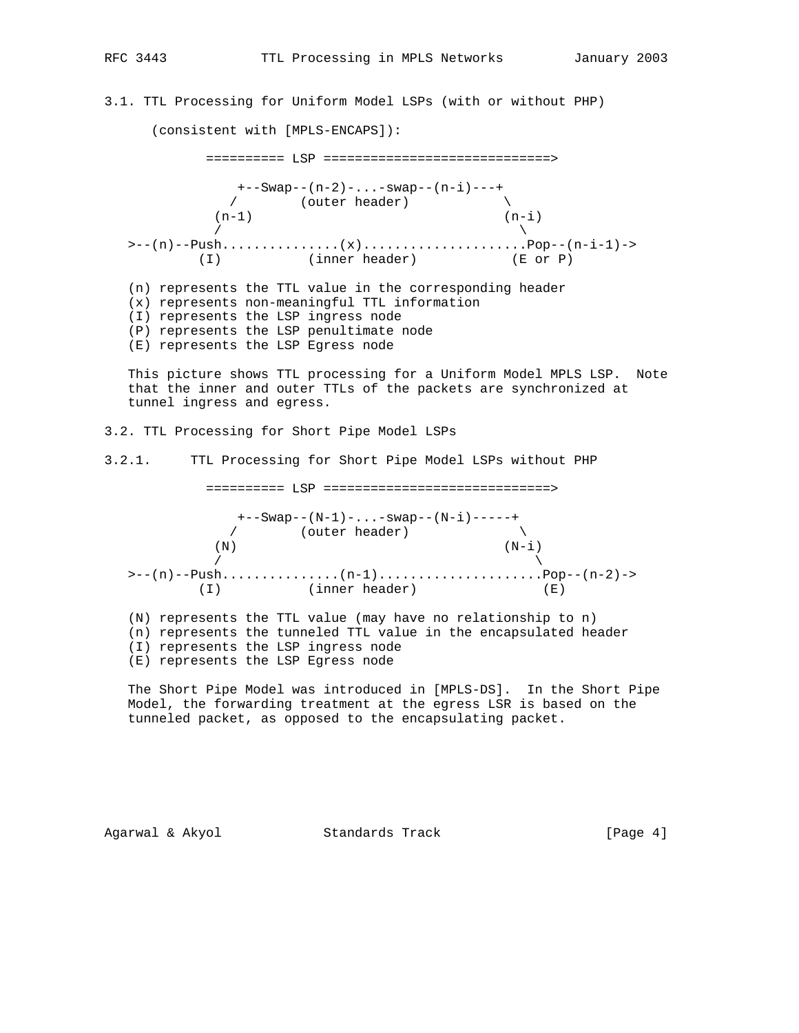3.1. TTL Processing for Uniform Model LSPs (with or without PHP)

(consistent with [MPLS-ENCAPS]):

 ========== LSP =============================> +--Swap--(n-2)-...-swap--(n-i)---+  $\sqrt{2}$  (outer header)  $(n-1)$   $(n-i)$  $\sqrt{2}$  >--(n)--Push...............(x).....................Pop--(n-i-1)-> (I) (inner header) (E or P) (n) represents the TTL value in the corresponding header (x) represents non-meaningful TTL information (I) represents the LSP ingress node (P) represents the LSP penultimate node (E) represents the LSP Egress node

 This picture shows TTL processing for a Uniform Model MPLS LSP. Note that the inner and outer TTLs of the packets are synchronized at tunnel ingress and egress.

3.2. TTL Processing for Short Pipe Model LSPs

3.2.1. TTL Processing for Short Pipe Model LSPs without PHP

========== LSP =============================>

 +--Swap--(N-1)-...-swap--(N-i)-----+  $\sqrt{2}$  (outer header)  $(N)$   $(N-i)$  $\sqrt{ }$  >--(n)--Push...............(n-1).....................Pop--(n-2)-> (I) (inner header) (E)

 (N) represents the TTL value (may have no relationship to n) (n) represents the tunneled TTL value in the encapsulated header (I) represents the LSP ingress node (E) represents the LSP Egress node

 The Short Pipe Model was introduced in [MPLS-DS]. In the Short Pipe Model, the forwarding treatment at the egress LSR is based on the tunneled packet, as opposed to the encapsulating packet.

Agarwal & Akyol Standards Track [Page 4]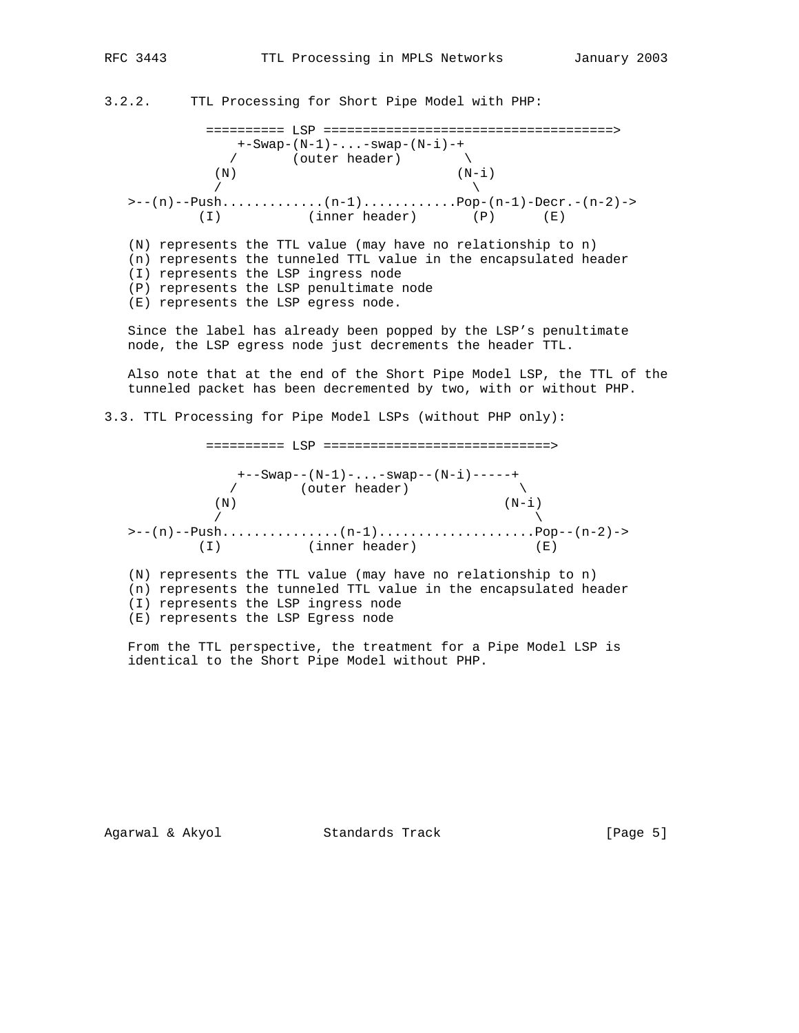3.2.2. TTL Processing for Short Pipe Model with PHP:

 ========== LSP =====================================> +-Swap-(N-1)-...-swap-(N-i)-+ / (outer header) \  $(N)$   $(N-i)$  $\sqrt{2}$  $\geq --(n)$ --Push..............(n-1).....................Pop-(n-1)-Decr.-(n-2)-> (I) (inner header) (P) (E) (N) represents the TTL value (may have no relationship to n) (n) represents the tunneled TTL value in the encapsulated header (I) represents the LSP ingress node (P) represents the LSP penultimate node (E) represents the LSP egress node. Since the label has already been popped by the LSP's penultimate node, the LSP egress node just decrements the header TTL. Also note that at the end of the Short Pipe Model LSP, the TTL of the tunneled packet has been decremented by two, with or without PHP. 3.3. TTL Processing for Pipe Model LSPs (without PHP only):

 ========== LSP =============================> +--Swap--(N-1)-...-swap--(N-i)-----+  $\sqrt{2}$  (outer header)  $(N)$   $(N-i)$  $\sqrt{ }$  >--(n)--Push...............(n-1)....................Pop--(n-2)-> (I) (inner header) (E) (N) represents the TTL value (may have no relationship to n) (n) represents the tunneled TTL value in the encapsulated header (I) represents the LSP ingress node (E) represents the LSP Egress node

 From the TTL perspective, the treatment for a Pipe Model LSP is identical to the Short Pipe Model without PHP.

Agarwal & Akyol Standards Track [Page 5]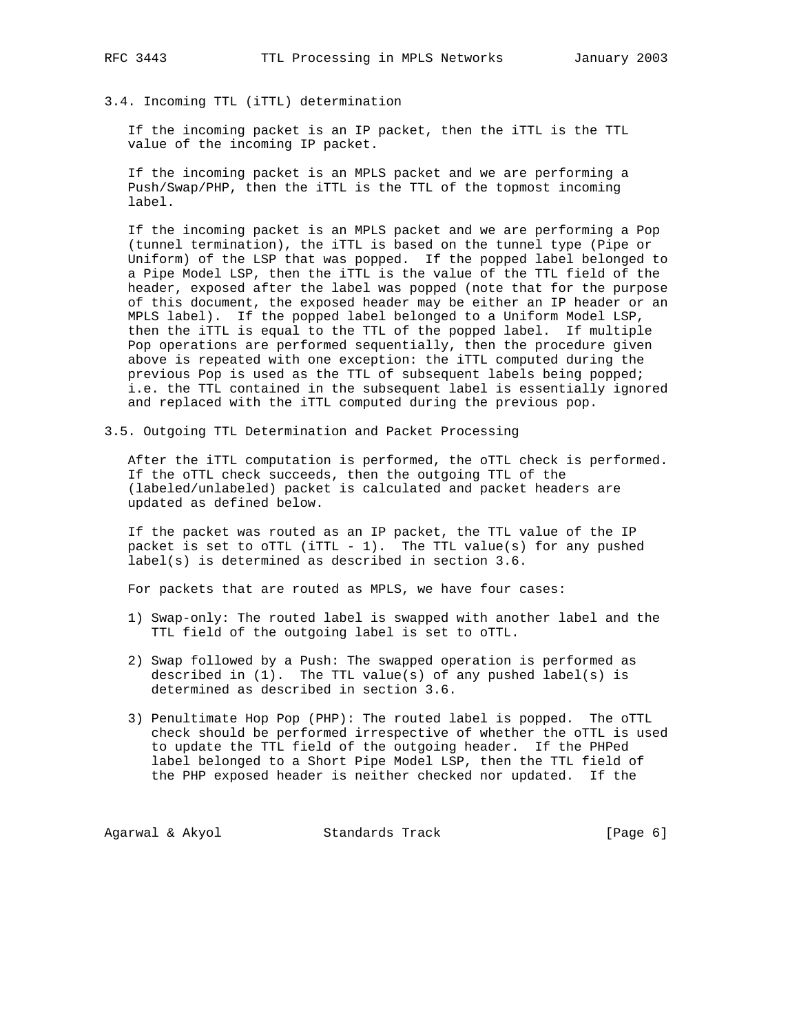3.4. Incoming TTL (iTTL) determination

 If the incoming packet is an IP packet, then the iTTL is the TTL value of the incoming IP packet.

 If the incoming packet is an MPLS packet and we are performing a Push/Swap/PHP, then the iTTL is the TTL of the topmost incoming label.

 If the incoming packet is an MPLS packet and we are performing a Pop (tunnel termination), the iTTL is based on the tunnel type (Pipe or Uniform) of the LSP that was popped. If the popped label belonged to a Pipe Model LSP, then the iTTL is the value of the TTL field of the header, exposed after the label was popped (note that for the purpose of this document, the exposed header may be either an IP header or an MPLS label). If the popped label belonged to a Uniform Model LSP, then the iTTL is equal to the TTL of the popped label. If multiple Pop operations are performed sequentially, then the procedure given above is repeated with one exception: the iTTL computed during the previous Pop is used as the TTL of subsequent labels being popped; i.e. the TTL contained in the subsequent label is essentially ignored and replaced with the iTTL computed during the previous pop.

3.5. Outgoing TTL Determination and Packet Processing

 After the iTTL computation is performed, the oTTL check is performed. If the oTTL check succeeds, then the outgoing TTL of the (labeled/unlabeled) packet is calculated and packet headers are updated as defined below.

 If the packet was routed as an IP packet, the TTL value of the IP packet is set to  $\text{OTTL}$  (iTTL - 1). The TTL value(s) for any pushed label(s) is determined as described in section 3.6.

For packets that are routed as MPLS, we have four cases:

- 1) Swap-only: The routed label is swapped with another label and the TTL field of the outgoing label is set to oTTL.
- 2) Swap followed by a Push: The swapped operation is performed as described in (1). The TTL value(s) of any pushed label(s) is determined as described in section 3.6.
- 3) Penultimate Hop Pop (PHP): The routed label is popped. The oTTL check should be performed irrespective of whether the oTTL is used to update the TTL field of the outgoing header. If the PHPed label belonged to a Short Pipe Model LSP, then the TTL field of the PHP exposed header is neither checked nor updated. If the

Agarwal & Akyol Standards Track [Page 6]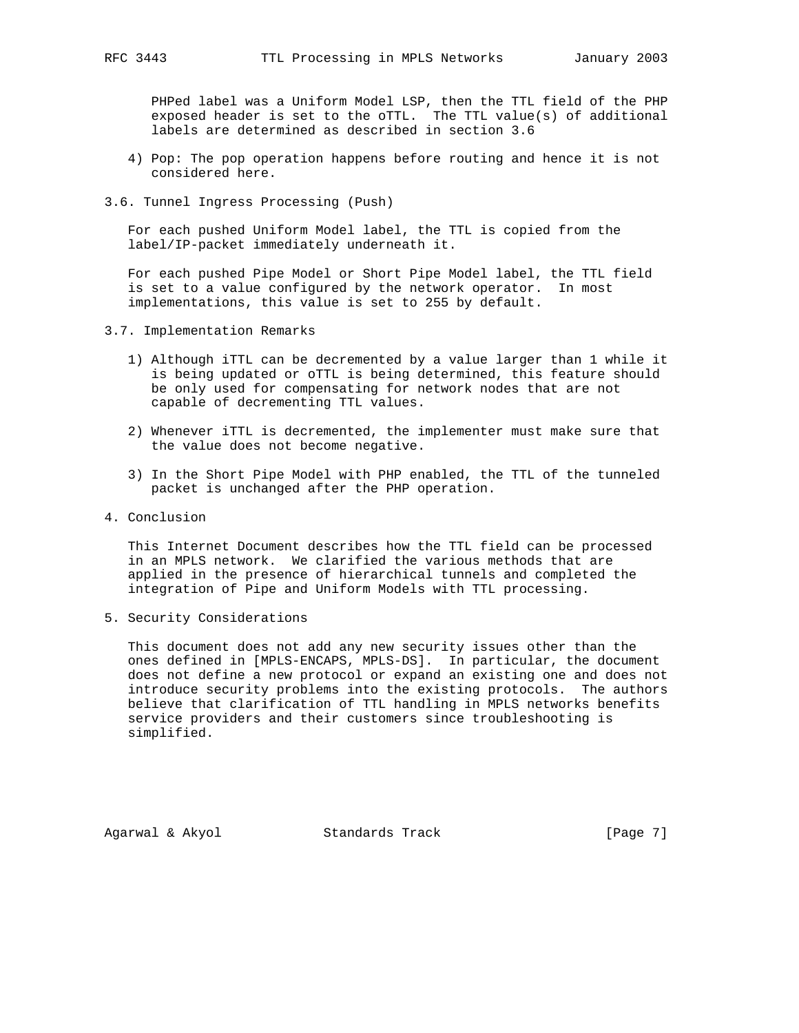PHPed label was a Uniform Model LSP, then the TTL field of the PHP exposed header is set to the oTTL. The TTL value(s) of additional labels are determined as described in section 3.6

- 4) Pop: The pop operation happens before routing and hence it is not considered here.
- 3.6. Tunnel Ingress Processing (Push)

 For each pushed Uniform Model label, the TTL is copied from the label/IP-packet immediately underneath it.

 For each pushed Pipe Model or Short Pipe Model label, the TTL field is set to a value configured by the network operator. In most implementations, this value is set to 255 by default.

- 3.7. Implementation Remarks
	- 1) Although iTTL can be decremented by a value larger than 1 while it is being updated or oTTL is being determined, this feature should be only used for compensating for network nodes that are not capable of decrementing TTL values.
	- 2) Whenever iTTL is decremented, the implementer must make sure that the value does not become negative.
	- 3) In the Short Pipe Model with PHP enabled, the TTL of the tunneled packet is unchanged after the PHP operation.
- 4. Conclusion

 This Internet Document describes how the TTL field can be processed in an MPLS network. We clarified the various methods that are applied in the presence of hierarchical tunnels and completed the integration of Pipe and Uniform Models with TTL processing.

5. Security Considerations

 This document does not add any new security issues other than the ones defined in [MPLS-ENCAPS, MPLS-DS]. In particular, the document does not define a new protocol or expand an existing one and does not introduce security problems into the existing protocols. The authors believe that clarification of TTL handling in MPLS networks benefits service providers and their customers since troubleshooting is simplified.

Agarwal & Akyol Standards Track [Page 7]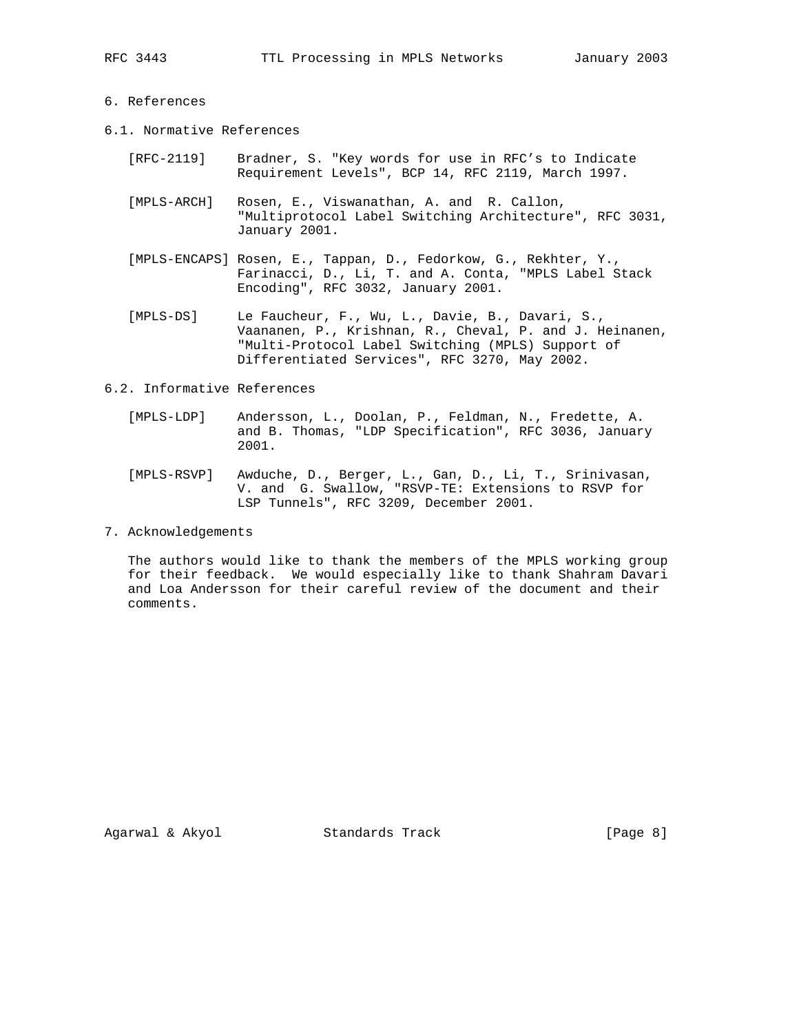### 6. References

- 6.1. Normative References
	- [RFC-2119] Bradner, S. "Key words for use in RFC's to Indicate Requirement Levels", BCP 14, RFC 2119, March 1997.
	- [MPLS-ARCH] Rosen, E., Viswanathan, A. and R. Callon, "Multiprotocol Label Switching Architecture", RFC 3031, January 2001.
	- [MPLS-ENCAPS] Rosen, E., Tappan, D., Fedorkow, G., Rekhter, Y., Farinacci, D., Li, T. and A. Conta, "MPLS Label Stack Encoding", RFC 3032, January 2001.
	- [MPLS-DS] Le Faucheur, F., Wu, L., Davie, B., Davari, S., Vaananen, P., Krishnan, R., Cheval, P. and J. Heinanen, "Multi-Protocol Label Switching (MPLS) Support of Differentiated Services", RFC 3270, May 2002.

6.2. Informative References

- [MPLS-LDP] Andersson, L., Doolan, P., Feldman, N., Fredette, A. and B. Thomas, "LDP Specification", RFC 3036, January 2001.
- [MPLS-RSVP] Awduche, D., Berger, L., Gan, D., Li, T., Srinivasan, V. and G. Swallow, "RSVP-TE: Extensions to RSVP for LSP Tunnels", RFC 3209, December 2001.
- 7. Acknowledgements

 The authors would like to thank the members of the MPLS working group for their feedback. We would especially like to thank Shahram Davari and Loa Andersson for their careful review of the document and their comments.

Agarwal & Akyol Standards Track [Page 8]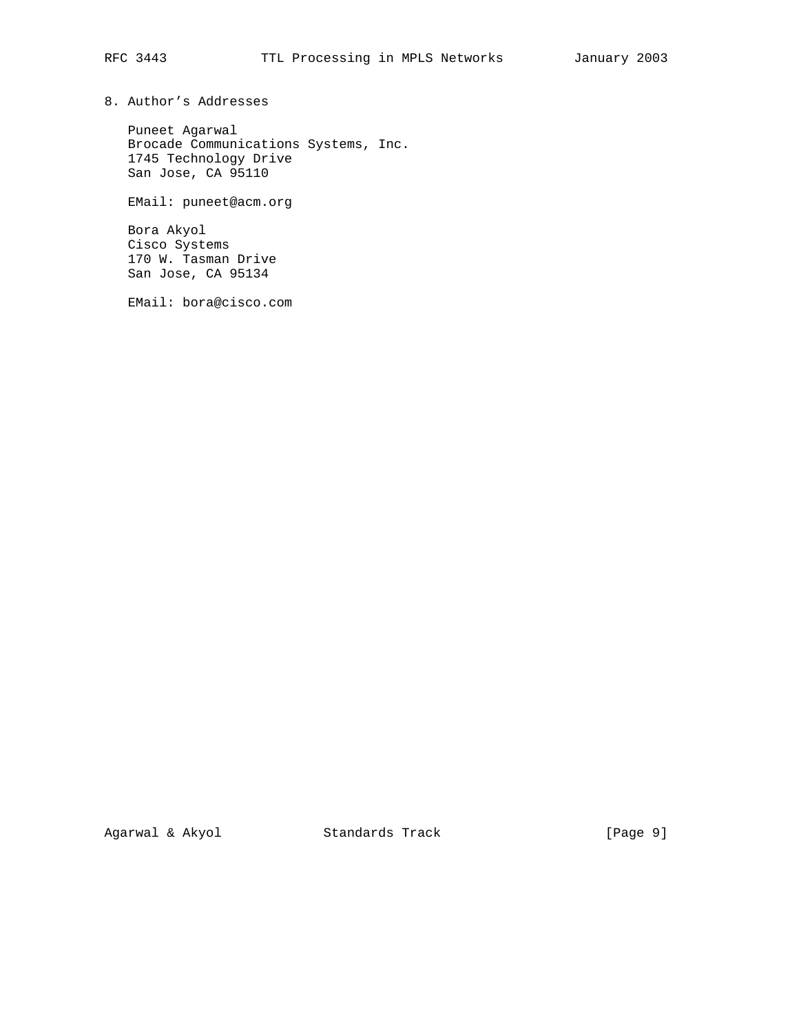8. Author's Addresses

 Puneet Agarwal Brocade Communications Systems, Inc. 1745 Technology Drive San Jose, CA 95110

EMail: puneet@acm.org

 Bora Akyol Cisco Systems 170 W. Tasman Drive San Jose, CA 95134

EMail: bora@cisco.com

Agarwal & Akyol Standards Track [Page 9]